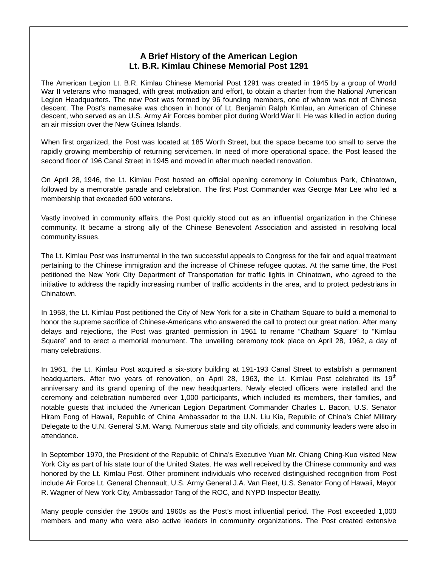## **A Brief History of the American Legion Lt. B.R. Kimlau Chinese Memorial Post 1291**

The American Legion Lt. B.R. Kimlau Chinese Memorial Post 1291 was created in 1945 by a group of World War II veterans who managed, with great motivation and effort, to obtain a charter from the National American Legion Headquarters. The new Post was formed by 96 founding members, one of whom was not of Chinese descent. The Post's namesake was chosen in honor of Lt. Benjamin Ralph Kimlau, an American of Chinese descent, who served as an U.S. Army Air Forces bomber pilot during World War II. He was killed in action during an air mission over the New Guinea Islands.

When first organized, the Post was located at 185 Worth Street, but the space became too small to serve the rapidly growing membership of returning servicemen. In need of more operational space, the Post leased the second floor of 196 Canal Street in 1945 and moved in after much needed renovation.

On April 28, 1946, the Lt. Kimlau Post hosted an official opening ceremony in Columbus Park, Chinatown, followed by a memorable parade and celebration. The first Post Commander was George Mar Lee who led a membership that exceeded 600 veterans.

Vastly involved in community affairs, the Post quickly stood out as an influential organization in the Chinese community. It became a strong ally of the Chinese Benevolent Association and assisted in resolving local community issues.

The Lt. Kimlau Post was instrumental in the two successful appeals to Congress for the fair and equal treatment pertaining to the Chinese immigration and the increase of Chinese refugee quotas. At the same time, the Post petitioned the New York City Department of Transportation for traffic lights in Chinatown, who agreed to the initiative to address the rapidly increasing number of traffic accidents in the area, and to protect pedestrians in **Chinatown** 

In 1958, the Lt. Kimlau Post petitioned the City of New York for a site in Chatham Square to build a memorial to honor the supreme sacrifice of Chinese-Americans who answered the call to protect our great nation. After many delays and rejections, the Post was granted permission in 1961 to rename "Chatham Square" to "Kimlau Square" and to erect a memorial monument. The unveiling ceremony took place on April 28, 1962, a day of many celebrations.

In 1961, the Lt. Kimlau Post acquired a six-story building at 191-193 Canal Street to establish a permanent headquarters. After two years of renovation, on April 28, 1963, the Lt. Kimlau Post celebrated its 19<sup>th</sup> anniversary and its grand opening of the new headquarters. Newly elected officers were installed and the ceremony and celebration numbered over 1,000 participants, which included its members, their families, and notable guests that included the American Legion Department Commander Charles L. Bacon, U.S. Senator Hiram Fong of Hawaii, Republic of China Ambassador to the U.N. Liu Kia, Republic of China's Chief Military Delegate to the U.N. General S.M. Wang. Numerous state and city officials, and community leaders were also in attendance.

In September 1970, the President of the Republic of China's Executive Yuan Mr. Chiang Ching-Kuo visited New York City as part of his state tour of the United States. He was well received by the Chinese community and was honored by the Lt. Kimlau Post. Other prominent individuals who received distinguished recognition from Post include Air Force Lt. General Chennault, U.S. Army General J.A. Van Fleet, U.S. Senator Fong of Hawaii, Mayor R. Wagner of New York City, Ambassador Tang of the ROC, and NYPD Inspector Beatty.

Many people consider the 1950s and 1960s as the Post's most influential period. The Post exceeded 1,000 members and many who were also active leaders in community organizations. The Post created extensive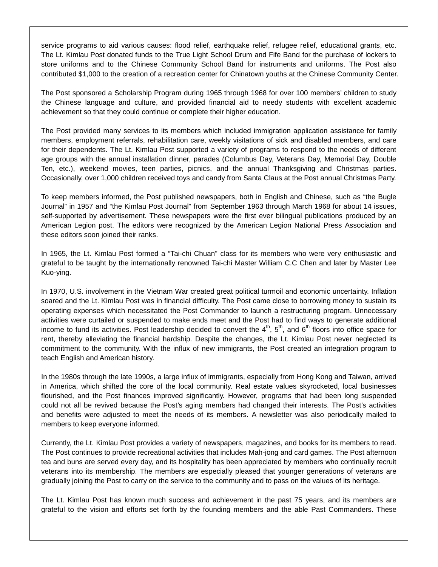service programs to aid various causes: flood relief, earthquake relief, refugee relief, educational grants, etc. The Lt. Kimlau Post donated funds to the True Light School Drum and Fife Band for the purchase of lockers to store uniforms and to the Chinese Community School Band for instruments and uniforms. The Post also contributed \$1,000 to the creation of a recreation center for Chinatown youths at the Chinese Community Center.

The Post sponsored a Scholarship Program during 1965 through 1968 for over 100 members' children to study the Chinese language and culture, and provided financial aid to needy students with excellent academic achievement so that they could continue or complete their higher education.

The Post provided many services to its members which included immigration application assistance for family members, employment referrals, rehabilitation care, weekly visitations of sick and disabled members, and care for their dependents. The Lt. Kimlau Post supported a variety of programs to respond to the needs of different age groups with the annual installation dinner, parades (Columbus Day, Veterans Day, Memorial Day, Double Ten, etc.), weekend movies, teen parties, picnics, and the annual Thanksgiving and Christmas parties. Occasionally, over 1,000 children received toys and candy from Santa Claus at the Post annual Christmas Party.

To keep members informed, the Post published newspapers, both in English and Chinese, such as "the Bugle Journal" in 1957 and "the Kimlau Post Journal" from September 1963 through March 1968 for about 14 issues, self-supported by advertisement. These newspapers were the first ever bilingual publications produced by an American Legion post. The editors were recognized by the American Legion National Press Association and these editors soon joined their ranks.

In 1965, the Lt. Kimlau Post formed a "Tai-chi Chuan" class for its members who were very enthusiastic and grateful to be taught by the internationally renowned Tai-chi Master William C.C Chen and later by Master Lee Kuo-ying.

In 1970, U.S. involvement in the Vietnam War created great political turmoil and economic uncertainty. Inflation soared and the Lt. Kimlau Post was in financial difficulty. The Post came close to borrowing money to sustain its operating expenses which necessitated the Post Commander to launch a restructuring program. Unnecessary activities were curtailed or suspended to make ends meet and the Post had to find ways to generate additional income to fund its activities. Post leadership decided to convert the  $4<sup>th</sup>$ ,  $5<sup>th</sup>$ , and  $6<sup>th</sup>$  floors into office space for rent, thereby alleviating the financial hardship. Despite the changes, the Lt. Kimlau Post never neglected its commitment to the community. With the influx of new immigrants, the Post created an integration program to teach English and American history.

In the 1980s through the late 1990s, a large influx of immigrants, especially from Hong Kong and Taiwan, arrived in America, which shifted the core of the local community. Real estate values skyrocketed, local businesses flourished, and the Post finances improved significantly. However, programs that had been long suspended could not all be revived because the Post's aging members had changed their interests. The Post's activities and benefits were adjusted to meet the needs of its members. A newsletter was also periodically mailed to members to keep everyone informed.

Currently, the Lt. Kimlau Post provides a variety of newspapers, magazines, and books for its members to read. The Post continues to provide recreational activities that includes Mah-jong and card games. The Post afternoon tea and buns are served every day, and its hospitality has been appreciated by members who continually recruit veterans into its membership. The members are especially pleased that younger generations of veterans are gradually joining the Post to carry on the service to the community and to pass on the values of its heritage.

The Lt. Kimlau Post has known much success and achievement in the past 75 years, and its members are grateful to the vision and efforts set forth by the founding members and the able Past Commanders. These